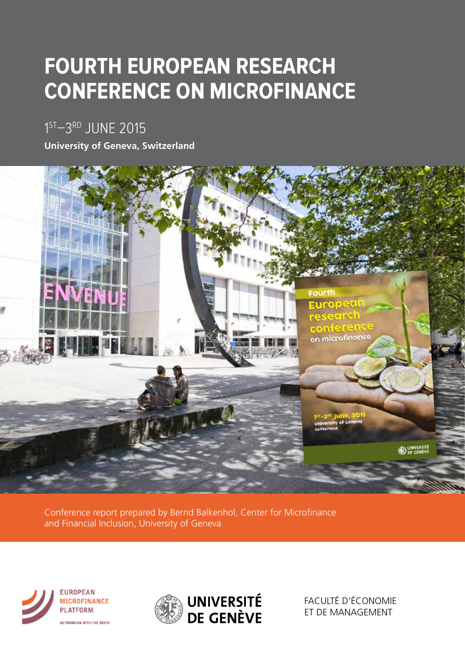# **FOURTH EUROPEAN RESEARCH CONFERENCE ON MICROFINANCE**

1<sup>ST</sup>–3<sup>rd</sup> JUNE 2015

**University of Geneva, Switzerland**



Conference report prepared by Bernd Balkenhol, Center for Microfinance and Financial Inclusion, University of Geneva





FACULTÉ D'ÉCONOMIE ET DE MANAGEMENT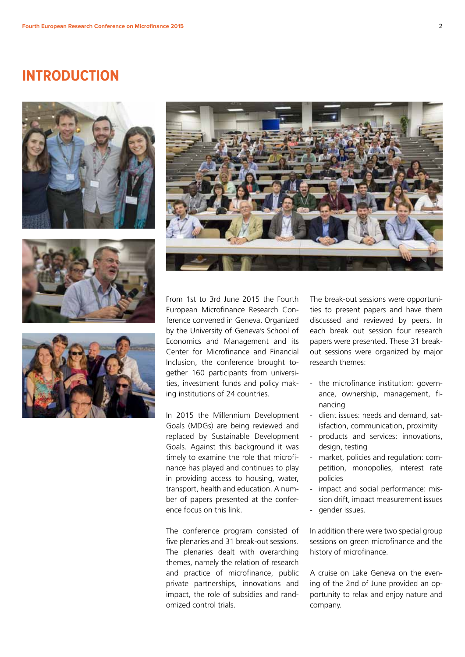#### **INTRODUCTION**









From 1st to 3rd June 2015 the Fourth European Microfinance Research Conference convened in Geneva. Organized by the University of Geneva's School of Economics and Management and its Center for Microfinance and Financial Inclusion, the conference brought together 160 participants from universities, investment funds and policy making institutions of 24 countries.

In 2015 the Millennium Development Goals (MDGs) are being reviewed and replaced by Sustainable Development Goals. Against this background it was timely to examine the role that microfinance has played and continues to play in providing access to housing, water, transport, health and education. A number of papers presented at the conference focus on this link.

The conference program consisted of five plenaries and 31 break-out sessions. The plenaries dealt with overarching themes, namely the relation of research and practice of microfinance, public private partnerships, innovations and impact, the role of subsidies and randomized control trials.

The break-out sessions were opportunities to present papers and have them discussed and reviewed by peers. In each break out session four research papers were presented. These 31 breakout sessions were organized by major research themes:

- the microfinance institution: governance, ownership, management, financing
- client issues: needs and demand, satisfaction, communication, proximity
- products and services: innovations, design, testing
- market, policies and regulation: competition, monopolies, interest rate policies
- impact and social performance: mission drift, impact measurement issues
- gender issues.

In addition there were two special group sessions on green microfinance and the history of microfinance.

A cruise on Lake Geneva on the evening of the 2nd of June provided an opportunity to relax and enjoy nature and company.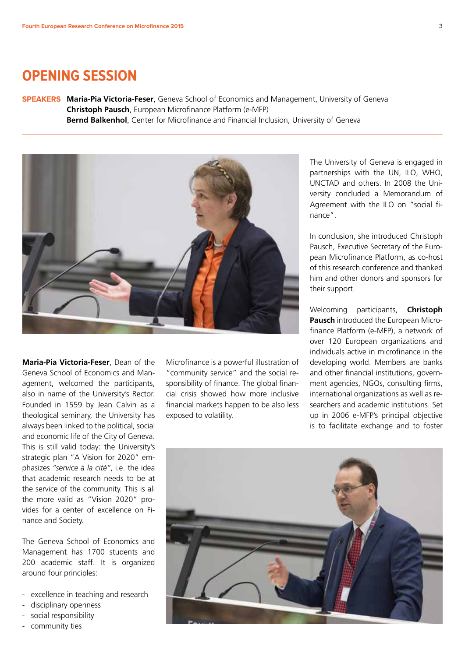#### **Opening session**

**Speakers Maria-Pia Victoria-Feser**, Geneva School of Economics and Management, University of Geneva **Christoph Pausch**, European Microfinance Platform (e-MFP) **Bernd Balkenhol**, Center for Microfinance and Financial Inclusion, University of Geneva



**Maria-Pia Victoria-Feser**, Dean of the Geneva School of Economics and Management, welcomed the participants, also in name of the University's Rector. Founded in 1559 by Jean Calvin as a theological seminary, the University has always been linked to the political, social and economic life of the City of Geneva. This is still valid today: the University's strategic plan "A Vision for 2020" emphasizes *"service à la cité"*, i.e. the idea that academic research needs to be at the service of the community. This is all the more valid as "Vision 2020" provides for a center of excellence on Finance and Society.

The Geneva School of Economics and Management has 1700 students and 200 academic staff. It is organized around four principles:

- excellence in teaching and research
- disciplinary openness
- social responsibility
- community ties

Microfinance is a powerful illustration of "community service" and the social responsibility of finance. The global financial crisis showed how more inclusive financial markets happen to be also less exposed to volatility.

The University of Geneva is engaged in partnerships with the UN, ILO, WHO, UNCTAD and others. In 2008 the University concluded a Memorandum of Agreement with the ILO on "social finance".

In conclusion, she introduced Christoph Pausch, Executive Secretary of the European Microfinance Platform, as co-host of this research conference and thanked him and other donors and sponsors for their support.

Welcoming participants, **Christoph Pausch** introduced the European Microfinance Platform (e-MFP), a network of over 120 European organizations and individuals active in microfinance in the developing world. Members are banks and other financial institutions, government agencies, NGOs, consulting firms, international organizations as well as researchers and academic institutions. Set up in 2006 e-MFP's principal objective is to facilitate exchange and to foster

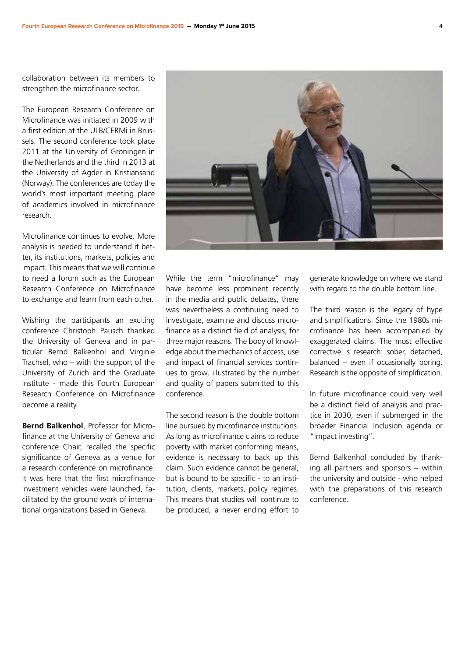collaboration between its members to strengthen the microfinance sector.

The European Research Conference on Microfinance was initiated in 2009 with a first edition at the ULB/CERMi in Brussels. The second conference took place 2011 at the University of Groningen in the Netherlands and the third in 2013 at the University of Agder in Kristiansand (Norway). The conferences are today the world's most important meeting place of academics involved in microfinance research.

Microfinance continues to evolve. More analysis is needed to understand it better, its institutions, markets, policies and impact. This means that we will continue to need a forum such as the European Research Conference on Microfinance to exchange and learn from each other.

Wishing the participants an exciting conference Christoph Pausch thanked the University of Geneva and in particular Bernd Balkenhol and Virginie Trachsel, who – with the support of the University of Zurich and the Graduate Institute - made this Fourth European Research Conference on Microfinance become a reality.

**Bernd Balkenhol**, Professor for Microfinance at the University of Geneva and conference Chair, recalled the specific significance of Geneva as a venue for a research conference on microfinance. It was here that the first microfinance investment vehicles were launched, facilitated by the ground work of international organizations based in Geneva.



The second reason is the double bottom line pursued by microfinance institutions. As long as microfinance claims to reduce poverty with market conforming means, evidence is necessary to back up this claim. Such evidence cannot be general, but is bound to be specific - to an institution, clients, markets, policy regimes. This means that studies will continue to be produced, a never ending effort to generate knowledge on where we stand with regard to the double bottom line.

The third reason is the legacy of hype and simplifications. Since the 1980s microfinance has been accompanied by exaggerated claims. The most effective corrective is research: sober, detached, balanced – even if occasionally boring. Research is the opposite of simplification.

In future microfinance could very well be a distinct field of analysis and practice in 2030, even if submerged in the broader Financial Inclusion agenda or "impact investing".

Bernd Balkenhol concluded by thanking all partners and sponsors – within the university and outside - who helped with the preparations of this research conference.

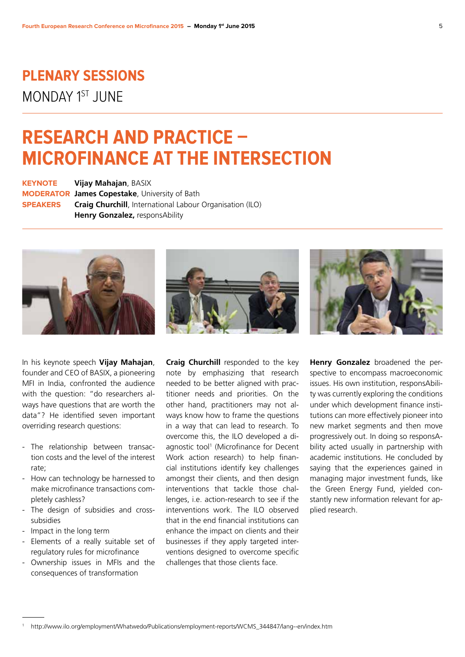### **Plenary sessions** MONDAY 1ST JUNE

## **Research and practice – microfinance at the intersection**

**Keynote Vijay Mahajan**, BASIX **Moderator James Copestake**, University of Bath **Speakers Craig Churchill**, International Labour Organisation (ILO) **Henry Gonzalez,** responsAbility







In his keynote speech **Vijay Mahajan**, founder and CEO of BASIX, a pioneering MFI in India, confronted the audience with the question: "do researchers always have questions that are worth the data"? He identified seven important overriding research questions:

- The relationship between transaction costs and the level of the interest rate;
- How can technology be harnessed to make microfinance transactions completely cashless?
- The design of subsidies and crosssubsidies
- Impact in the long term
- Elements of a really suitable set of regulatory rules for microfinance
- Ownership issues in MFIs and the consequences of transformation

**Craig Churchill** responded to the key note by emphasizing that research needed to be better aligned with practitioner needs and priorities. On the other hand, practitioners may not always know how to frame the questions in a way that can lead to research. To overcome this, the ILO developed a diagnostic tool<sup>1</sup> (Microfinance for Decent Work action research) to help financial institutions identify key challenges amongst their clients, and then design interventions that tackle those challenges, i.e. action-research to see if the interventions work. The ILO observed that in the end financial institutions can enhance the impact on clients and their businesses if they apply targeted interventions designed to overcome specific challenges that those clients face.

**Henry Gonzalez** broadened the perspective to encompass macroeconomic issues. His own institution, responsAbility was currently exploring the conditions under which development finance institutions can more effectively pioneer into new market segments and then move progressively out. In doing so responsAbility acted usually in partnership with academic institutions. He concluded by saying that the experiences gained in managing major investment funds, like the Green Energy Fund, yielded constantly new information relevant for applied research.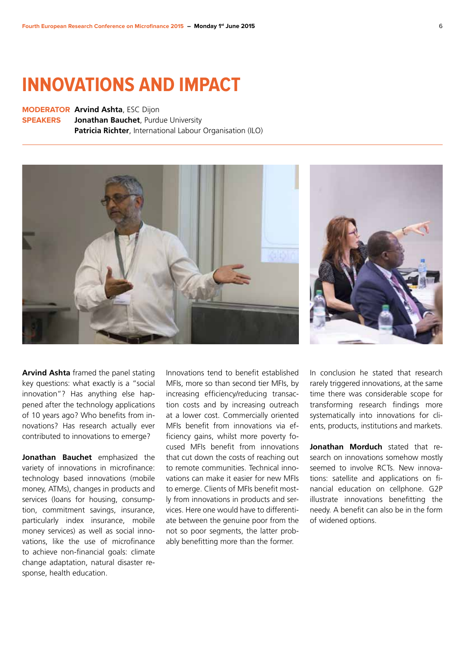## **Innovations and impact**

**Moderator Arvind Ashta**, ESC Dijon **Speakers Jonathan Bauchet**, Purdue University **Patricia Richter**, International Labour Organisation (ILO)





**Arvind Ashta** framed the panel stating key questions: what exactly is a "social innovation"? Has anything else happened after the technology applications of 10 years ago? Who benefits from innovations? Has research actually ever contributed to innovations to emerge?

**Jonathan Bauchet** emphasized the variety of innovations in microfinance: technology based innovations (mobile money, ATMs), changes in products and services (loans for housing, consumption, commitment savings, insurance, particularly index insurance, mobile money services) as well as social innovations, like the use of microfinance to achieve non-financial goals: climate change adaptation, natural disaster response, health education.

Innovations tend to benefit established MFIs, more so than second tier MFIs, by increasing efficiency/reducing transaction costs and by increasing outreach at a lower cost. Commercially oriented MFIs benefit from innovations via efficiency gains, whilst more poverty focused MFIs benefit from innovations that cut down the costs of reaching out to remote communities. Technical innovations can make it easier for new MFIs to emerge. Clients of MFIs benefit mostly from innovations in products and services. Here one would have to differentiate between the genuine poor from the not so poor segments, the latter probably benefitting more than the former.

In conclusion he stated that research rarely triggered innovations, at the same time there was considerable scope for transforming research findings more systematically into innovations for clients, products, institutions and markets.

**Jonathan Morduch** stated that research on innovations somehow mostly seemed to involve RCTs. New innovations: satellite and applications on financial education on cellphone. G2P illustrate innovations benefitting the needy. A benefit can also be in the form of widened options.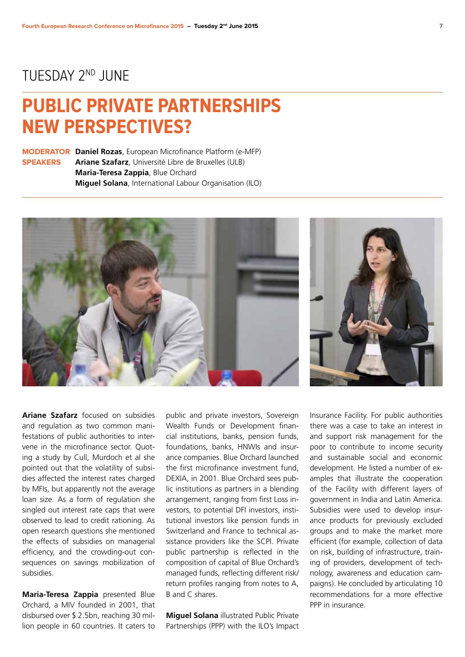#### TUESDAY 2nd JUNE

## **Public private partnerships new perspectives?**

**Moderator Daniel Rozas**, European Microfinance Platform (e-MFP) **Speakers Ariane Szafarz**, Université Libre de Bruxelles (ULB) **Maria-Teresa Zappia**, Blue Orchard **Miguel Solana**, International Labour Organisation (ILO)





**Ariane Szafarz** focused on subsidies and regulation as two common manifestations of public authorities to intervene in the microfinance sector. Quoting a study by Cull, Murdoch et al she pointed out that the volatility of subsidies affected the interest rates charged by MFIs, but apparently not the average loan size. As a form of regulation she singled out interest rate caps that were observed to lead to credit rationing. As open research questions she mentioned the effects of subsidies on managerial efficiency, and the crowding-out consequences on savings mobilization of subsidies.

**Maria-Teresa Zappia** presented Blue Orchard, a MIV founded in 2001, that disbursed over \$ 2.5bn, reaching 30 million people in 60 countries. It caters to

public and private investors, Sovereign Wealth Funds or Development financial institutions, banks, pension funds, foundations, banks, HNWIs and insurance companies. Blue Orchard launched the first microfinance investment fund, DEXIA, in 2001. Blue Orchard sees public institutions as partners in a blending arrangement, ranging from first Loss investors, to potential DFI investors, institutional investors like pension funds in Switzerland and France to technical assistance providers like the SCPI. Private public partnership is reflected in the composition of capital of Blue Orchard's managed funds, reflecting different risk/ return profiles ranging from notes to A, B and C shares.

**Miguel Solana** illustrated Public Private Partnerships (PPP) with the ILO's Impact

Insurance Facility. For public authorities there was a case to take an interest in and support risk management for the poor to contribute to income security and sustainable social and economic development. He listed a number of examples that illustrate the cooperation of the Facility with different layers of government in India and Latin America. Subsidies were used to develop insurance products for previously excluded groups and to make the market more efficient (for example, collection of data on risk, building of infrastructure, training of providers, development of technology, awareness and education campaigns). He concluded by articulating 10 recommendations for a more effective PPP in insurance.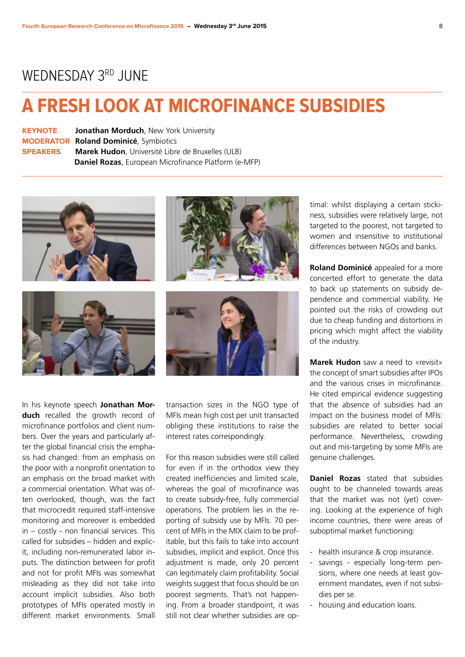#### WEDNESDAY 3RD JUNE

## **A fresh look at microfinance subsidies**

| <b>KEYNOTE</b>  | <b>Jonathan Morduch, New York University</b>             |  |  |
|-----------------|----------------------------------------------------------|--|--|
|                 | <b>MODERATOR Roland Dominicé, Symbiotics</b>             |  |  |
| <b>SPEAKERS</b> | <b>Marek Hudon</b> , Université Libre de Bruxelles (ULB) |  |  |
|                 | Daniel Rozas, European Microfinance Platform (e-MFP)     |  |  |



In his keynote speech **Jonathan Morduch** recalled the growth record of microfinance portfolios and client numbers. Over the years and particularly after the global financial crisis the emphasis had changed: from an emphasis on the poor with a nonprofit orientation to an emphasis on the broad market with a commercial orientation. What was often overlooked, though, was the fact that microcredit required staff-intensive monitoring and moreover is embedded in – costly - non financial services. This called for subsidies – hidden and explicit, including non-remunerated labor inputs. The distinction between for profit and not for profit MFIs was somewhat misleading as they did not take into account implicit subsidies. Also both prototypes of MFIs operated mostly in different market environments. Small transaction sizes in the NGO type of MFIs mean high cost per unit transacted obliging these institutions to raise the interest rates correspondingly.

For this reason subsidies were still called for even if in the orthodox view they created inefficiencies and limited scale, whereas the goal of microfinance was to create subsidy-free, fully commercial operations. The problem lies in the reporting of subsidy use by MFIs. 70 percent of MFIs in the MIX claim to be profitable, but this fails to take into account subsidies, implicit and explicit. Once this adjustment is made, only 20 percent can legitimately claim profitability. Social weights suggest that focus should be on poorest segments. That's not happening. From a broader standpoint, it was still not clear whether subsidies are optimal: whilst displaying a certain stickiness, subsidies were relatively large, not targeted to the poorest, not targeted to women and insensitive to institutional differences between NGOs and banks.

**Roland Dominicé** appealed for a more concerted effort to generate the data to back up statements on subsidy dependence and commercial viability. He pointed out the risks of crowding out due to cheap funding and distortions in pricing which might affect the viability of the industry.

**Marek Hudon** saw a need to «revisit» the concept of smart subsidies after IPOs and the various crises in microfinance. He cited empirical evidence suggesting that the absence of subsidies had an impact on the business model of MFIs: subsidies are related to better social performance. Nevertheless, crowding out and mis-targeting by some MFIs are genuine challenges.

**Daniel Rozas** stated that subsidies ought to be channeled towards areas that the market was not (yet) covering. Looking at the experience of high income countries, there were areas of suboptimal market functioning:

- health insurance & crop insurance.
- savings especially long-term pensions, where one needs at least government mandates, even if not subsidies per se.
- housing and education loans.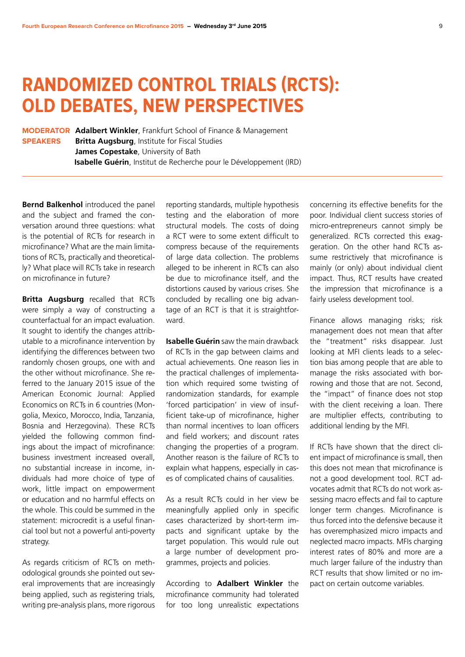## **Randomized Control trials (RCTs): old debates, new perspectives**

**Moderator Adalbert Winkler**, Frankfurt School of Finance & Management **Speakers Britta Augsburg**, Institute for Fiscal Studies **James Copestake**, University of Bath **Isabelle Guérin**, Institut de Recherche pour le Développement (IRD)

**Bernd Balkenhol** introduced the panel and the subject and framed the conversation around three questions: what is the potential of RCTs for research in microfinance? What are the main limitations of RCTs, practically and theoretically? What place will RCTs take in research on microfinance in future?

**Britta Augsburg** recalled that RCTs were simply a way of constructing a counterfactual for an impact evaluation. It sought to identify the changes attributable to a microfinance intervention by identifying the differences between two randomly chosen groups, one with and the other without microfinance. She referred to the January 2015 issue of the American Economic Journal: Applied Economics on RCTs in 6 countries (Mongolia, Mexico, Morocco, India, Tanzania, Bosnia and Herzegovina). These RCTs yielded the following common findings about the impact of microfinance: business investment increased overall, no substantial increase in income, individuals had more choice of type of work, little impact on empowerment or education and no harmful effects on the whole. This could be summed in the statement: microcredit is a useful financial tool but not a powerful anti-poverty strategy.

As regards criticism of RCTs on methodological grounds she pointed out several improvements that are increasingly being applied, such as registering trials, writing pre-analysis plans, more rigorous

reporting standards, multiple hypothesis testing and the elaboration of more structural models. The costs of doing a RCT were to some extent difficult to compress because of the requirements of large data collection. The problems alleged to be inherent in RCTs can also be due to microfinance itself, and the distortions caused by various crises. She concluded by recalling one big advantage of an RCT is that it is straightforward.

**Isabelle Guérin** saw the main drawback of RCTs in the gap between claims and actual achievements. One reason lies in the practical challenges of implementation which required some twisting of randomization standards, for example 'forced participation' in view of insufficient take-up of microfinance, higher than normal incentives to loan officers and field workers; and discount rates changing the properties of a program. Another reason is the failure of RCTs to explain what happens, especially in cases of complicated chains of causalities.

As a result RCTs could in her view be meaningfully applied only in specific cases characterized by short-term impacts and significant uptake by the target population. This would rule out a large number of development programmes, projects and policies.

According to **Adalbert Winkler** the microfinance community had tolerated for too long unrealistic expectations

concerning its effective benefits for the poor. Individual client success stories of micro-entrepreneurs cannot simply be generalized. RCTs corrected this exaggeration. On the other hand RCTs assume restrictively that microfinance is mainly (or only) about individual client impact. Thus, RCT results have created the impression that microfinance is a fairly useless development tool.

Finance allows managing risks; risk management does not mean that after the "treatment" risks disappear. Just looking at MFI clients leads to a selection bias among people that are able to manage the risks associated with borrowing and those that are not. Second, the "impact" of finance does not stop with the client receiving a loan. There are multiplier effects, contributing to additional lending by the MFI.

If RCTs have shown that the direct client impact of microfinance is small, then this does not mean that microfinance is not a good development tool. RCT advocates admit that RCTs do not work assessing macro effects and fail to capture longer term changes. Microfinance is thus forced into the defensive because it has overemphasized micro impacts and neglected macro impacts. MFIs charging interest rates of 80% and more are a much larger failure of the industry than RCT results that show limited or no impact on certain outcome variables.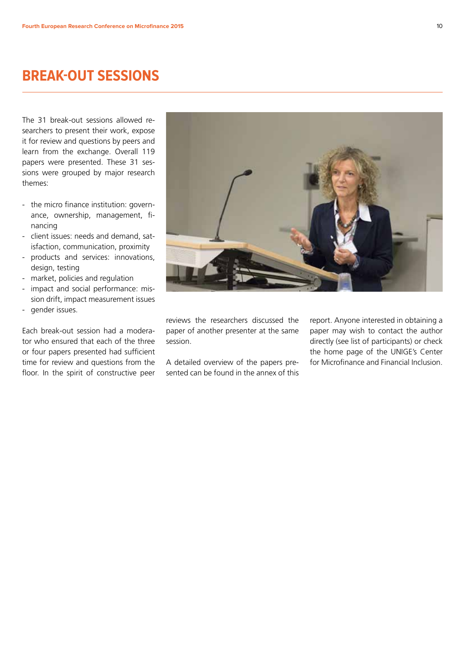### **Break-out sessions**

The 31 break-out sessions allowed researchers to present their work, expose it for review and questions by peers and learn from the exchange. Overall 119 papers were presented. These 31 sessions were grouped by major research themes:

- the micro finance institution: governance, ownership, management, financing
- client issues: needs and demand, satisfaction, communication, proximity
- products and services: innovations, design, testing
- market, policies and regulation
- impact and social performance: mission drift, impact measurement issues - gender issues.

Each break-out session had a moderator who ensured that each of the three or four papers presented had sufficient time for review and questions from the floor. In the spirit of constructive peer



reviews the researchers discussed the paper of another presenter at the same session.

A detailed overview of the papers presented can be found in the annex of this

report. Anyone interested in obtaining a paper may wish to contact the author directly (see list of participants) or check the home page of the UNIGE's Center for Microfinance and Financial Inclusion.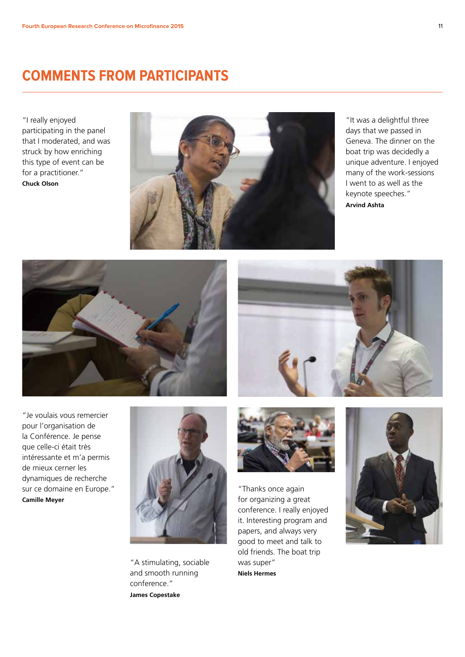#### **Comments from participants**

"I really enjoyed participating in the panel that I moderated, and was struck by how enriching this type of event can be for a practitioner." **Chuck Olson**



"It was a delightful three days that we passed in Geneva. The dinner on the boat trip was decidedly a unique adventure. I enjoyed many of the work-sessions I went to as well as the keynote speeches." **Arvind Ashta**





"Je voulais vous remercier pour l'organisation de la Conférence. Je pense que celle-ci était très intéressante et m'a permis de mieux cerner les dynamiques de recherche sur ce domaine en Europe." **Camille Meyer**



"A stimulating, sociable and smooth running conference." **James Copestake**



"Thanks once again for organizing a great conference. I really enjoyed it. Interesting program and papers, and always very good to meet and talk to old friends. The boat trip was super" **Niels Hermes**

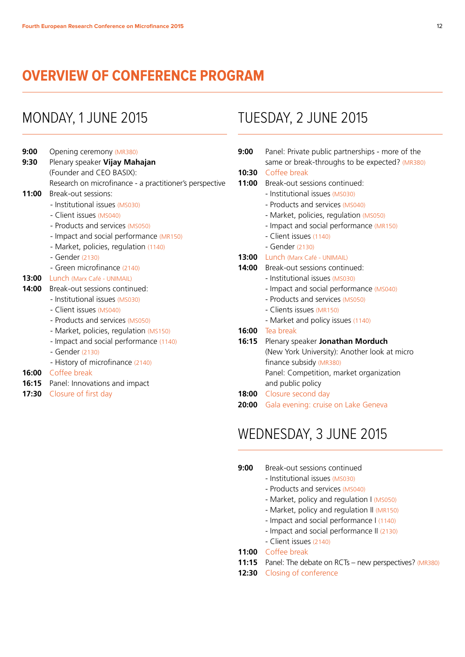#### **Overview of Conference Program**

#### Monday, 1 June 2015

- **9:00** Opening ceremony (MR380) **9:30** Plenary speaker **Vijay Mahajan** (Founder and CEO BASIX): Research on microfinance - a practitioner's perspective **11:00** Break-out sessions: - Institutional issues (MS030)
	- ► Client issues (MS040)
		-
	- Products and services (MS050)
	- Impact and social performance (MR150)
	- Market, policies, regulation (1140) ► - Gender (2130)
	-
	- ► Green microfinance (2140)
- **13:00** Lunch (Marx Café UNIMAIL)
- **14:00** Break-out sessions continued:
	- Institutional issues (MS030)
	- Client issues (MS040)
	- Products and services (MS050)
	- Market, policies, regulation (MS150)
	- Impact and social performance (1140)
	- Gender (2130)
	- History of microfinance (2140)
- **16:00** Coffee break
- **16:15** Panel: Innovations and impact
- **17:30** Closure of first day

### Tuesday, 2 June 2015

**9:00** Panel: Private public partnerships - more of the same or break-throughs to be expected? (MR380)

#### **10:30** Coffee break

- **11:00** Break-out sessions continued:
	- Institutional issues (MS030)
	- Products and services (MS040)
	- Market, policies, regulation (MS050)
	- Impact and social performance (MR150)
	- Client issues (1140)
	- Gender (2130)
- **13:00** Lunch (Marx Café UNIMAIL)
- **14:00** Break-out sessions continued:
	- Institutional issues (MS030)
	- Impact and social performance (MS040)
	- Products and services (MS050)
	- Clients issues (MR150)
	- Market and policy issues (1140)
- **16:00** Tea break
- **16:15** Plenary speaker **Jonathan Morduch** (New York University): Another look at micro finance subsidy (MR380) Panel: Competition, market organization and public policy **18:00** Closure second day
- **20:00** Gala evening: cruise on Lake Geneva

#### Wednesday, 3 June 2015

#### **9:00** Break-out sessions continued

- Institutional issues (MS030)
- Products and services (MS040)
- Market, policy and regulation I (MS050)
- Market, policy and regulation II (MR150)
- Impact and social performance I (1140)
- Impact and social performance II (2130)
- Client issues (2140)
- **11:00** Coffee break
- **11:15** Panel: The debate on RCTs new perspectives? (MR380)
- **12:30** Closing of conference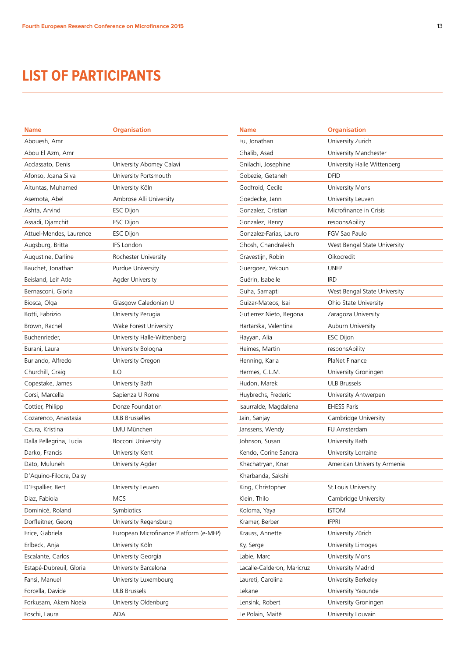### **LIST OF PARTICIPANTS**

| <b>Name</b>             | <b>Organisation</b>                    | <b>Nam</b> |
|-------------------------|----------------------------------------|------------|
| Abouesh, Amr            |                                        | Fu, Jo     |
| Abou El Azm, Amr        |                                        | Ghali      |
| Acclassato, Denis       | University Abomey Calavi               | Gnila      |
| Afonso, Joana Silva     | University Portsmouth                  | Gobe       |
| Altuntas, Muhamed       | University Köln                        | Godf       |
| Asemota, Abel           | Ambrose Alli University                | Goec       |
| Ashta, Arvind           | <b>ESC Dijon</b>                       | Gonz       |
| Assadi, Djamchit        | <b>ESC Dijon</b>                       | Gonz       |
| Attuel-Mendes, Laurence | <b>ESC Dijon</b>                       | Gonz       |
| Augsburg, Britta        | <b>IFS London</b>                      | Ghos       |
| Augustine, Darline      | Rochester University                   | Grave      |
| Bauchet, Jonathan       | Purdue University                      | Guer       |
| Beisland, Leif Atle     | <b>Agder University</b>                | Guér       |
| Bernasconi, Gloria      |                                        | Guha       |
| Biosca, Olga            | Glasgow Caledonian U                   | Guiza      |
| Botti, Fabrizio         | University Perugia                     | Gutie      |
| Brown, Rachel           | Wake Forest University                 | Harta      |
| Buchenrieder.           | University Halle-Wittenberg            | Hayy.      |
| Burani, Laura           | University Bologna                     | Heim       |
| Burlando, Alfredo       | University Oregon                      | Henr       |
| Churchill, Craig        | <b>ILO</b>                             | Herm       |
| Copestake, James        | University Bath                        | Hudc       |
| Corsi, Marcella         | Sapienza U Rome                        | Huyb       |
| Cottier, Philipp        | Donze Foundation                       | Isauri     |
| Cozarenco, Anastasia    | ULB Brusselles                         | Jain,      |
| Czura, Kristina         | LMU München                            | Janss      |
| Dalla Pellegrina, Lucia | Bocconi University                     | John:      |
| Darko, Francis          | University Kent                        | Kend       |
| Dato, Muluneh           | University Agder                       | Khac       |
| D'Aquino-Filocre, Daisy |                                        | Kharl      |
| D'Espallier, Bert       | University Leuven                      | King,      |
| Diaz, Fabiola           | <b>MCS</b>                             | Klein      |
| Dominicé, Roland        | Symbiotics                             | Kolor      |
| Dorfleitner, Georg      | University Regensburg                  | Kram       |
| Erice, Gabriela         | European Microfinance Platform (e-MFP) | Kraus      |
| Erlbeck, Anja           | University Köln                        | Ky, S      |
| Escalante, Carlos       | University Georgia                     | Labie      |
| Estapé-Dubreuil, Gloria | University Barcelona                   | Lacal      |
| Fansi, Manuel           | University Luxembourg                  | Laure      |
| Forcella, Davide        | <b>ULB Brussels</b>                    | Lekar      |
| Forkusam, Akem Noela    | University Oldenburg                   | Lensi      |
| Foschi, Laura           | ADA                                    | Le Pc      |

| <b>Name</b>                | <b>Organisation</b>          |  |  |
|----------------------------|------------------------------|--|--|
| Fu, Jonathan               | University Zurich            |  |  |
| Ghalib, Asad               | University Manchester        |  |  |
| Gnilachi, Josephine        | University Halle Wittenberg  |  |  |
| Gobezie, Getaneh           | DFID                         |  |  |
| Godfroid, Cecile           | University Mons              |  |  |
| Goedecke, Jann             | University Leuven            |  |  |
| Gonzalez, Cristian         | Microfinance in Crisis       |  |  |
| Gonzalez, Henry            | responsAbility               |  |  |
| Gonzalez-Farias, Lauro     | FGV Sao Paulo                |  |  |
| Ghosh, Chandralekh         | West Bengal State University |  |  |
| Gravestijn, Robin          | Oikocredit                   |  |  |
| Guergoez, Yekbun           | <b>UNEP</b>                  |  |  |
| Guérin, Isabelle           | IRD                          |  |  |
| Guha, Samapti              | West Bengal State University |  |  |
| Guizar-Mateos, Isai        | Ohio State University        |  |  |
| Gutierrez Nieto, Begona    | Zaragoza University          |  |  |
| Hartarska, Valentina       | Auburn University            |  |  |
| Hayyan, Alia               | <b>ESC Dijon</b>             |  |  |
| Heimes, Martin             | responsAbility               |  |  |
| Henning, Karla             | PlaNet Finance               |  |  |
| Hermes, C.L.M.             | University Groningen         |  |  |
| Hudon, Marek               | <b>ULB Brussels</b>          |  |  |
| Huybrechs, Frederic        | University Antwerpen         |  |  |
| Isaurralde, Magdalena      | <b>EHESS Paris</b>           |  |  |
| Jain, Sanjay               | Cambridge University         |  |  |
| Janssens, Wendy            | FU Amsterdam                 |  |  |
| Johnson, Susan             | University Bath              |  |  |
| Kendo, Corine Sandra       | University Lorraine          |  |  |
| Khachatryan, Knar          | American University Armenia  |  |  |
| Kharbanda, Sakshi          |                              |  |  |
| King, Christopher          | St. Louis University         |  |  |
| Klein, Thilo               | Cambridge University         |  |  |
| Koloma, Yaya               | <b>ISTOM</b>                 |  |  |
| Kramer, Berber             | <b>IFPRI</b>                 |  |  |
| Krauss, Annette            | University Zürich            |  |  |
| Ky, Serge                  | University Limoges           |  |  |
| Labie, Marc                | University Mons              |  |  |
| Lacalle-Calderon, Maricruz | University Madrid            |  |  |
| Laureti, Carolina          | University Berkeley          |  |  |
| Lekane                     | University Yaounde           |  |  |
| Lensink, Robert            | University Groningen         |  |  |
| Le Polain, Maité           | University Louvain           |  |  |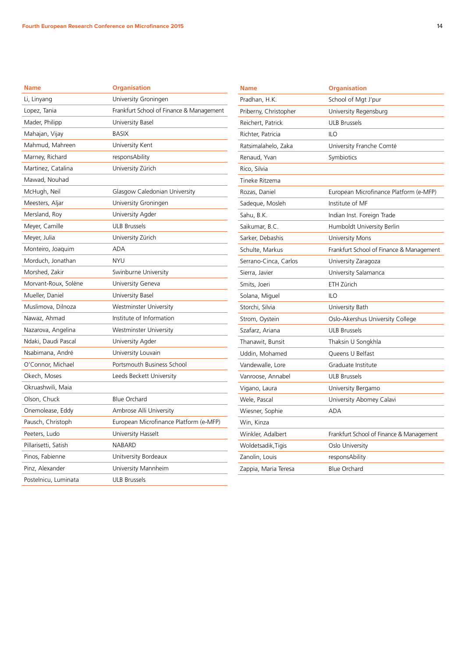| I |
|---|
|   |

| <b>Name</b>          | <b>Organisation</b>                      | <b>Name</b>           | <b>Organisation</b>                      |
|----------------------|------------------------------------------|-----------------------|------------------------------------------|
| Li, Linyang          | University Groningen                     | Pradhan, H.K.         | School of Mgt J'pur                      |
| Lopez, Tania         | Frankfurt School of Finance & Management | Priberny, Christopher | University Regensburg                    |
| Mader, Philipp       | University Basel                         | Reichert, Patrick     | <b>ULB Brussels</b>                      |
| Mahajan, Vijay       | <b>BASIX</b>                             | Richter, Patricia     | <b>ILO</b>                               |
| Mahmud, Mahreen      | University Kent                          | Ratsimalahelo, Zaka   | University Franche Comté                 |
| Marney, Richard      | responsAbility                           | Renaud, Yvan          | Symbiotics                               |
| Martinez, Catalina   | University Zürich                        | Rico, Silvia          |                                          |
| Mawad, Nouhad        |                                          | Tineke Ritzema        |                                          |
| McHugh, Neil         | Glasgow Caledonian University            | Rozas, Daniel         | European Microfinance Platform (e-MFP)   |
| Meesters, Aljar      | University Groningen                     | Sadeque, Mosleh       | Institute of MF                          |
| Mersland, Roy        | University Agder                         | Sahu, B.K.            | Indian Inst. Foreign Trade               |
| Meyer, Camille       | <b>ULB Brussels</b>                      | Saikumar, B.C.        | Humboldt University Berlin               |
| Meyer, Julia         | University Zürich                        | Sarker, Debashis      | University Mons                          |
| Monteiro, Joaquim    | <b>ADA</b>                               | Schulte, Markus       | Frankfurt School of Finance & Management |
| Morduch, Jonathan    | <b>NYU</b>                               | Serrano-Cinca, Carlos | University Zaragoza                      |
| Morshed, Zakir       | Swinburne University                     | Sierra, Javier        | University Salamanca                     |
| Morvant-Roux, Solène | University Geneva                        | Smits, Joeri          | ETH Zürich                               |
| Mueller, Daniel      | University Basel                         | Solana, Miguel        | <b>ILO</b>                               |
| Muslimova, Dilnoza   | Westminster University                   | Storchi, Silvia       | University Bath                          |
| Nawaz, Ahmad         | Institute of Information                 | Strom, Oystein        | Oslo-Akershus University College         |
| Nazarova, Angelina   | Westminster University                   | Szafarz, Ariana       | <b>ULB Brussels</b>                      |
| Ndaki, Daudi Pascal  | University Agder                         | Thanawit, Bunsit      | Thaksin U Songkhla                       |
| Nsabimana, André     | University Louvain                       | Uddin, Mohamed        | Queens U Belfast                         |
| O'Connor, Michael    | Portsmouth Business School               | Vandewalle, Lore      | Graduate Institute                       |
| Okech, Moses         | Leeds Beckett University                 | Vanroose, Annabel     | <b>ULB Brussels</b>                      |
| Okruashwili, Maia    |                                          | Vigano, Laura         | University Bergamo                       |
| Olson, Chuck         | <b>Blue Orchard</b>                      | Wele, Pascal          | University Abomey Calavi                 |
| Onemolease, Eddy     | Ambrose Alli University                  | Wiesner, Sophie       | <b>ADA</b>                               |
| Pausch, Christoph    | European Microfinance Platform (e-MFP)   | Win, Kinza            |                                          |
| Peeters, Ludo        | University Hasselt                       | Winkler, Adalbert     | Frankfurt School of Finance & Management |
| Pillarisetti, Satish | <b>NABARD</b>                            | Woldetsadik, Tigis    | Oslo University                          |
| Pinos, Fabienne      | Unitversity Bordeaux                     | Zanolin, Louis        | responsAbility                           |
| Pinz, Alexander      | University Mannheim                      | Zappia, Maria Teresa  | <b>Blue Orchard</b>                      |
| Postelnicu, Luminata | <b>ULB Brussels</b>                      |                       |                                          |
|                      |                                          |                       |                                          |